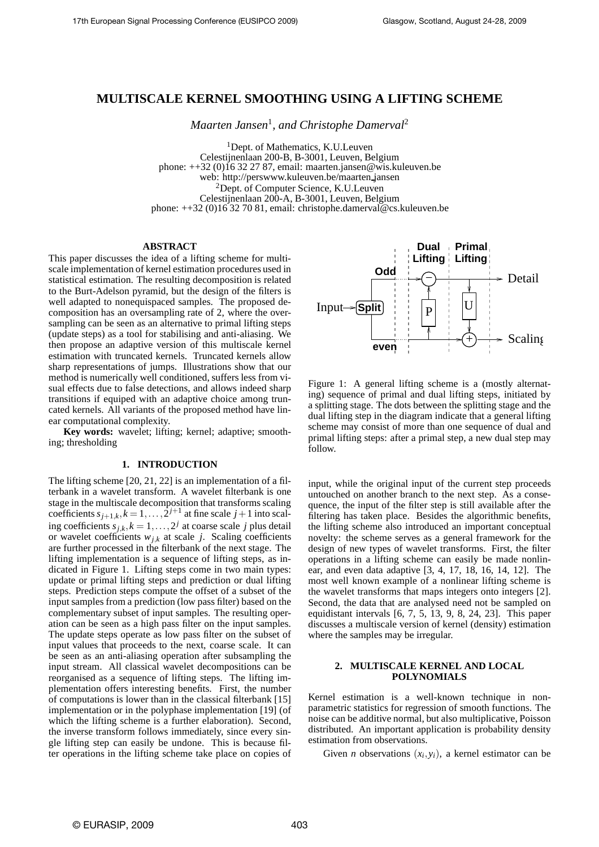# **MULTISCALE KERNEL SMOOTHING USING A LIFTING SCHEME**

*Maarten Jansen*<sup>1</sup> *, and Christophe Damerval*<sup>2</sup>

<sup>1</sup>Dept. of Mathematics, K.U.Leuven Celestijnenlaan 200-B, B-3001, Leuven, Belgium phone: ++32 (0)16 32 27 87, email: maarten.jansen@wis.kuleuven.be web: http://perswww.kuleuven.be/maarten jansen <sup>2</sup>Dept. of Computer Science, K.U.Leuven Celestijnenlaan 200-A, B-3001, Leuven, Belgium phone: ++32 (0)16 32 70 81, email: christophe.damerval@cs.kuleuven.be

### **ABSTRACT**

This paper discusses the idea of a lifting scheme for multiscale implementation of kernel estimation procedures used in statistical estimation. The resulting decomposition is related to the Burt-Adelson pyramid, but the design of the filters is well adapted to nonequispaced samples. The proposed decomposition has an oversampling rate of 2, where the oversampling can be seen as an alternative to primal lifting steps (update steps) as a tool for stabilising and anti-aliasing. We then propose an adaptive version of this multiscale kernel estimation with truncated kernels. Truncated kernels allow sharp representations of jumps. Illustrations show that our method is numerically well conditioned, suffers less from visual effects due to false detections, and allows indeed sharp transitions if equiped with an adaptive choice among truncated kernels. All variants of the proposed method have linear computational complexity.

**Key words:** wavelet; lifting; kernel; adaptive; smoothing; thresholding

#### **1. INTRODUCTION**

The lifting scheme [20, 21, 22] is an implementation of a filterbank in a wavelet transform. A wavelet filterbank is one stage in the multiscale decomposition that transforms scaling coefficients  $s_{j+1,k}$ ,  $k = 1, ..., 2^{j+1}$  at fine scale  $j+1$  into scaling coefficients  $s_{j,k}$ ,  $k = 1, ..., 2^j$  at coarse scale *j* plus detail or wavelet coefficients  $w_{j,k}$  at scale *j*. Scaling coefficients are further processed in the filterbank of the next stage. The lifting implementation is a sequence of lifting steps, as indicated in Figure 1. Lifting steps come in two main types: update or primal lifting steps and prediction or dual lifting steps. Prediction steps compute the offset of a subset of the input samples from a prediction (low pass filter) based on the complementary subset of input samples. The resulting operation can be seen as a high pass filter on the input samples. The update steps operate as low pass filter on the subset of input values that proceeds to the next, coarse scale. It can be seen as an anti-aliasing operation after subsampling the input stream. All classical wavelet decompositions can be reorganised as a sequence of lifting steps. The lifting implementation offers interesting benefits. First, the number of computations is lower than in the classical filterbank [15] implementation or in the polyphase implementation [19] (of which the lifting scheme is a further elaboration). Second, the inverse transform follows immediately, since every single lifting step can easily be undone. This is because filter operations in the lifting scheme take place on copies of



Figure 1: A general lifting scheme is a (mostly alternating) sequence of primal and dual lifting steps, initiated by a splitting stage. The dots between the splitting stage and the dual lifting step in the diagram indicate that a general lifting scheme may consist of more than one sequence of dual and primal lifting steps: after a primal step, a new dual step may follow.

input, while the original input of the current step proceeds untouched on another branch to the next step. As a consequence, the input of the filter step is still available after the filtering has taken place. Besides the algorithmic benefits, the lifting scheme also introduced an important conceptual novelty: the scheme serves as a general framework for the design of new types of wavelet transforms. First, the filter operations in a lifting scheme can easily be made nonlinear, and even data adaptive [3, 4, 17, 18, 16, 14, 12]. The most well known example of a nonlinear lifting scheme is the wavelet transforms that maps integers onto integers [2]. Second, the data that are analysed need not be sampled on equidistant intervals [6, 7, 5, 13, 9, 8, 24, 23]. This paper discusses a multiscale version of kernel (density) estimation where the samples may be irregular.

### **2. MULTISCALE KERNEL AND LOCAL POLYNOMIALS**

Kernel estimation is a well-known technique in nonparametric statistics for regression of smooth functions. The noise can be additive normal, but also multiplicative, Poisson distributed. An important application is probability density estimation from observations.

Given *n* observations  $(x_i, y_i)$ , a kernel estimator can be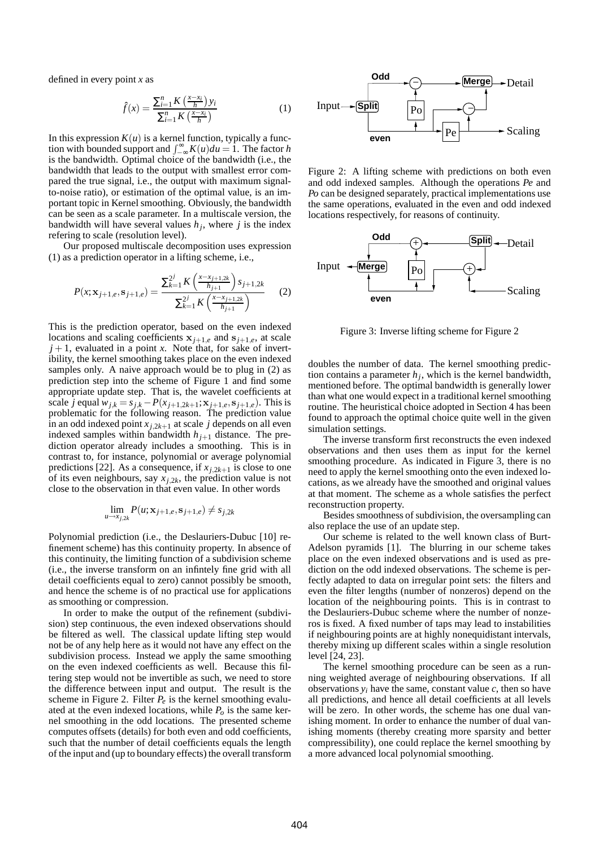defined in every point *x* as

$$
\hat{f}(x) = \frac{\sum_{i=1}^{n} K\left(\frac{x - x_i}{h}\right) y_i}{\sum_{i=1}^{n} K\left(\frac{x - x_i}{h}\right)}
$$
(1)

In this expression  $K(u)$  is a kernel function, typically a function with bounded support and  $\int_{-\infty}^{\infty} K(u) du = 1$ . The factor *h* is the bandwidth. Optimal choice of the bandwidth (i.e., the bandwidth that leads to the output with smallest error compared the true signal, i.e., the output with maximum signalto-noise ratio), or estimation of the optimal value, is an important topic in Kernel smoothing. Obviously, the bandwidth can be seen as a scale parameter. In a multiscale version, the bandwidth will have several values *h<sup>j</sup>* , where *j* is the index refering to scale (resolution level).

Our proposed multiscale decomposition uses expression (1) as a prediction operator in a lifting scheme, i.e.,

$$
P(x; \mathbf{x}_{j+1,e}, \mathbf{s}_{j+1,e}) = \frac{\sum_{k=1}^{2^j} K\left(\frac{x - x_{j+1,2k}}{h_{j+1}}\right) s_{j+1,2k}}{\sum_{k=1}^{2^j} K\left(\frac{x - x_{j+1,2k}}{h_{j+1}}\right)}
$$
(2)

This is the prediction operator, based on the even indexed locations and scaling coefficients  $x_{i+1,e}$  and  $s_{i+1,e}$ , at scale  $j + 1$ , evaluated in a point *x*. Note that, for sake of invertibility, the kernel smoothing takes place on the even indexed samples only. A naive approach would be to plug in  $(2)$  as prediction step into the scheme of Figure 1 and find some appropriate update step. That is, the wavelet coefficients at scale *j* equal  $w_{j,k} = s_{j,k} - P(x_{j+1,2k+1};\mathbf{x}_{j+1,e},\mathbf{s}_{j+1,e})$ . This is problematic for the following reason. The prediction value in an odd indexed point  $x_{j,2k+1}$  at scale *j* depends on all even indexed samples within bandwidth  $h_{j+1}$  distance. The prediction operator already includes a smoothing. This is in contrast to, for instance, polynomial or average polynomial predictions [22]. As a consequence, if  $x_{i,2k+1}$  is close to one of its even neighbours, say  $x_{j,2k}$ , the prediction value is not close to the observation in that even value. In other words

$$
\lim_{u\to x_{j,2k}} P(u;\mathbf{x}_{j+1,e},\mathbf{s}_{j+1,e}) \neq s_{j,2k}
$$

Polynomial prediction (i.e., the Deslauriers-Dubuc [10] refinement scheme) has this continuity property. In absence of this continuity, the limiting function of a subdivision scheme (i.e., the inverse transform on an infintely fine grid with all detail coefficients equal to zero) cannot possibly be smooth, and hence the scheme is of no practical use for applications as smoothing or compression.

In order to make the output of the refinement (subdivision) step continuous, the even indexed observations should be filtered as well. The classical update lifting step would not be of any help here as it would not have any effect on the subdivision process. Instead we apply the same smoothing on the even indexed coefficients as well. Because this filtering step would not be invertible as such, we need to store the difference between input and output. The result is the scheme in Figure 2. Filter  $P_e$  is the kernel smoothing evaluated at the even indexed locations, while  $P<sub>o</sub>$  is the same kernel smoothing in the odd locations. The presented scheme computes offsets (details) for both even and odd coefficients, such that the number of detail coefficients equals the length of the input and (up to boundary effects) the overall transform



Figure 2: A lifting scheme with predictions on both even and odd indexed samples. Although the operations *Pe* and *Po* can be designed separately, practical implementations use the same operations, evaluated in the even and odd indexed locations respectively, for reasons of continuity.



Figure 3: Inverse lifting scheme for Figure 2

doubles the number of data. The kernel smoothing prediction contains a parameter  $h_j$ , which is the kernel bandwidth, mentioned before. The optimal bandwidth is generally lower than what one would expect in a traditional kernel smoothing routine. The heuristical choice adopted in Section 4 has been found to approach the optimal choice quite well in the given simulation settings.

The inverse transform first reconstructs the even indexed observations and then uses them as input for the kernel smoothing procedure. As indicated in Figure 3, there is no need to apply the kernel smoothing onto the even indexed locations, as we already have the smoothed and original values at that moment. The scheme as a whole satisfies the perfect reconstruction property.

Besides smoothness of subdivision, the oversampling can also replace the use of an update step.

Our scheme is related to the well known class of Burt-Adelson pyramids [1]. The blurring in our scheme takes place on the even indexed observations and is used as prediction on the odd indexed observations. The scheme is perfectly adapted to data on irregular point sets: the filters and even the filter lengths (number of nonzeros) depend on the location of the neighbouring points. This is in contrast to the Deslauriers-Dubuc scheme where the number of nonzeros is fixed. A fixed number of taps may lead to instabilities if neighbouring points are at highly nonequidistant intervals, thereby mixing up different scales within a single resolution level [24, 23].

The kernel smoothing procedure can be seen as a running weighted average of neighbouring observations. If all observations  $y_i$  have the same, constant value  $c$ , then so have all predictions, and hence all detail coefficients at all levels will be zero. In other words, the scheme has one dual vanishing moment. In order to enhance the number of dual vanishing moments (thereby creating more sparsity and better compressibility), one could replace the kernel smoothing by a more advanced local polynomial smoothing.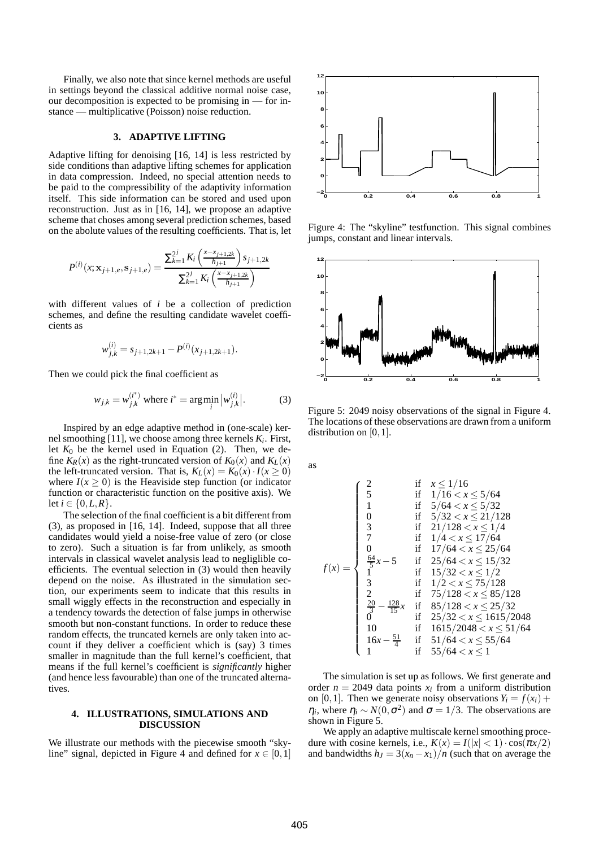Finally, we also note that since kernel methods are useful in settings beyond the classical additive normal noise case, our decomposition is expected to be promising in — for instance — multiplicative (Poisson) noise reduction.

## **3. ADAPTIVE LIFTING**

Adaptive lifting for denoising [16, 14] is less restricted by side conditions than adaptive lifting schemes for application in data compression. Indeed, no special attention needs to be paid to the compressibility of the adaptivity information itself. This side information can be stored and used upon reconstruction. Just as in [16, 14], we propose an adaptive scheme that choses among several prediction schemes, based on the abolute values of the resulting coefficients. That is, let

$$
P^{(i)}(x; \mathbf{x}_{j+1,e}, \mathbf{s}_{j+1,e}) = \frac{\sum_{k=1}^{2^j} K_i \left( \frac{x - x_{j+1,2k}}{h_{j+1}} \right) s_{j+1,2k}}{\sum_{k=1}^{2^j} K_i \left( \frac{x - x_{j+1,2k}}{h_{j+1}} \right)}
$$

with different values of *i* be a collection of prediction schemes, and define the resulting candidate wavelet coefficients as

$$
w_{j,k}^{(i)} = s_{j+1,2k+1} - P^{(i)}(x_{j+1,2k+1}).
$$

Then we could pick the final coefficient as

$$
w_{j,k} = w_{j,k}^{(i^*)}
$$
 where  $i^* = \arg\min_i |w_{j,k}^{(i)}|$ . (3)

Inspired by an edge adaptive method in (one-scale) kernel smoothing [11], we choose among three kernels *K<sup>i</sup>* . First, let  $K_0$  be the kernel used in Equation (2). Then, we define  $K_R(x)$  as the right-truncated version of  $K_0(x)$  and  $K_L(x)$ the left-truncated version. That is,  $K_L(x) = K_0(x) \cdot I(x \ge 0)$ where  $I(x \ge 0)$  is the Heaviside step function (or indicator function or characteristic function on the positive axis). We let *i* ∈ {0,*L*,*R*}.

The selection of the final coefficient is a bit different from (3), as proposed in [16, 14]. Indeed, suppose that all three candidates would yield a noise-free value of zero (or close to zero). Such a situation is far from unlikely, as smooth intervals in classical wavelet analysis lead to negliglible coefficients. The eventual selection in (3) would then heavily depend on the noise. As illustrated in the simulation section, our experiments seem to indicate that this results in small wiggly effects in the reconstruction and especially in a tendency towards the detection of false jumps in otherwise smooth but non-constant functions. In order to reduce these random effects, the truncated kernels are only taken into account if they deliver a coefficient which is (say) 3 times smaller in magnitude than the full kernel's coefficient, that means if the full kernel's coefficient is *significantly* higher (and hence less favourable) than one of the truncated alternatives.

### **4. ILLUSTRATIONS, SIMULATIONS AND DISCUSSION**

We illustrate our methods with the piecewise smooth "skyline" signal, depicted in Figure 4 and defined for  $x \in [0,1]$ 



Figure 4: The "skyline" testfunction. This signal combines jumps, constant and linear intervals.



Figure 5: 2049 noisy observations of the signal in Figure 4. The locations of these observations are drawn from a uniform distribution on [0, 1].

as

$$
f(x) = \begin{cases} 2 & \text{if } x \le 1/16 \\ 5 & \text{if } 1/16 < x \le 5/64 \\ 1 & \text{if } 5/64 < x \le 5/32 \\ 0 & \text{if } 5/32 < x \le 21/128 \\ 3 & \text{if } 21/128 < x \le 1/4 \\ 7 & \text{if } 1/4 < x \le 17/64 \\ 0 & \text{if } 17/64 < x \le 25/64 \\ \frac{64}{5}x - 5 & \text{if } 25/64 < x \le 15/32 \\ 1 & \text{if } 15/32 < x \le 1/2 \\ 3 & \text{if } 1/2 < x \le 75/128 \\ 2 & \text{if } 75/128 < x \le 85/128 \\ \frac{20}{3} - \frac{128}{15}x & \text{if } 85/128 < x \le 25/32 \\ 0 & \text{if } 25/32 < x \le 1615/2048 \\ 10 & \text{if } 1615/2048 < x \le 51/64 \\ 16x - \frac{51}{4} & \text{if } 51/64 < x \le 55/64 \\ \end{cases}
$$

The simulation is set up as follows. We first generate and order  $n = 2049$  data points  $x_i$  from a uniform distribution on [0,1]. Then we generate noisy observations  $Y_i = f(x_i) +$  $\eta_i$ , where  $\eta_i \sim N(0, \sigma^2)$  and  $\sigma = 1/3$ . The observations are shown in Figure 5.

We apply an adaptive multiscale kernel smoothing procedure with cosine kernels, i.e.,  $K(x) = I(|x| < 1) \cdot \cos(\pi x/2)$ and bandwidths  $h_J = 3(x_n - x_1)/n$  (such that on average the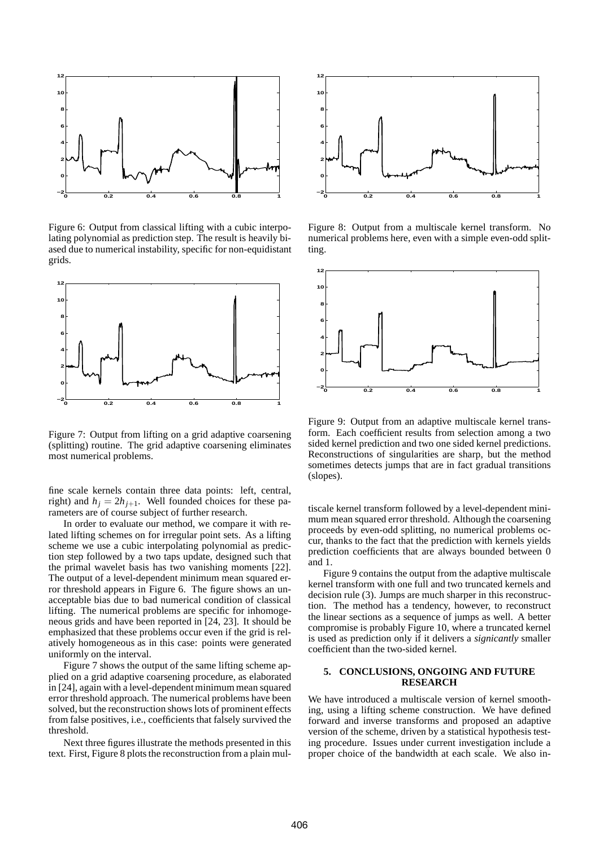

Figure 6: Output from classical lifting with a cubic interpolating polynomial as prediction step. The result is heavily biased due to numerical instability, specific for non-equidistant grids.



Figure 7: Output from lifting on a grid adaptive coarsening (splitting) routine. The grid adaptive coarsening eliminates most numerical problems.

fine scale kernels contain three data points: left, central, right) and  $h_i = 2h_{i+1}$ . Well founded choices for these parameters are of course subject of further research.

In order to evaluate our method, we compare it with related lifting schemes on for irregular point sets. As a lifting scheme we use a cubic interpolating polynomial as prediction step followed by a two taps update, designed such that the primal wavelet basis has two vanishing moments [22]. The output of a level-dependent minimum mean squared error threshold appears in Figure 6. The figure shows an unacceptable bias due to bad numerical condition of classical lifting. The numerical problems are specific for inhomogeneous grids and have been reported in [24, 23]. It should be emphasized that these problems occur even if the grid is relatively homogeneous as in this case: points were generated uniformly on the interval.

Figure 7 shows the output of the same lifting scheme applied on a grid adaptive coarsening procedure, as elaborated in [24], again with a level-dependent minimum mean squared error threshold approach. The numerical problems have been solved, but the reconstruction shows lots of prominent effects from false positives, i.e., coefficients that falsely survived the threshold.

Next three figures illustrate the methods presented in this text. First, Figure 8 plots the reconstruction from a plain mul-



Figure 8: Output from a multiscale kernel transform. No numerical problems here, even with a simple even-odd splitting.



Figure 9: Output from an adaptive multiscale kernel transform. Each coefficient results from selection among a two sided kernel prediction and two one sided kernel predictions. Reconstructions of singularities are sharp, but the method sometimes detects jumps that are in fact gradual transitions (slopes).

tiscale kernel transform followed by a level-dependent minimum mean squared error threshold. Although the coarsening proceeds by even-odd splitting, no numerical problems occur, thanks to the fact that the prediction with kernels yields prediction coefficients that are always bounded between 0 and 1.

Figure 9 contains the output from the adaptive multiscale kernel transform with one full and two truncated kernels and decision rule (3). Jumps are much sharper in this reconstruction. The method has a tendency, however, to reconstruct the linear sections as a sequence of jumps as well. A better compromise is probably Figure 10, where a truncated kernel is used as prediction only if it delivers a *signicantly* smaller coefficient than the two-sided kernel.

### **5. CONCLUSIONS, ONGOING AND FUTURE RESEARCH**

We have introduced a multiscale version of kernel smoothing, using a lifting scheme construction. We have defined forward and inverse transforms and proposed an adaptive version of the scheme, driven by a statistical hypothesis testing procedure. Issues under current investigation include a proper choice of the bandwidth at each scale. We also in-